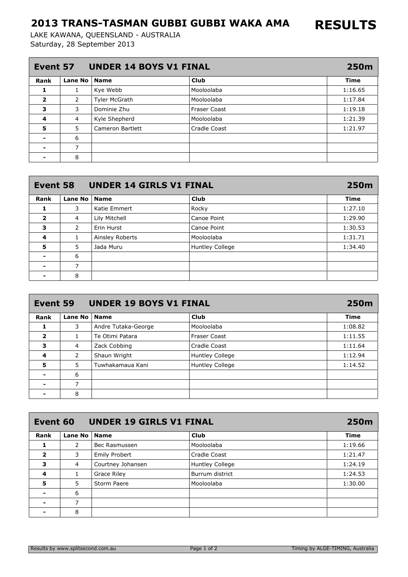## 2013 TRANS-TASMAN GUBBI GUBBI WAKA AMA

Saturday, 28 September 2013 LAKE KAWANA, QUEENSLAND - AUSTRALIA

| <b>UNDER 14 BOYS V1 FINAL</b><br>Event 57 |                |                         |                     |             |
|-------------------------------------------|----------------|-------------------------|---------------------|-------------|
| Rank                                      | Lane No        | <b>Name</b>             | <b>Club</b>         | <b>Time</b> |
| 1                                         | 1              | Kye Webb                | Mooloolaba          | 1:16.65     |
| $\overline{\mathbf{2}}$                   | $\overline{2}$ | <b>Tyler McGrath</b>    | Mooloolaba          | 1:17.84     |
| 3                                         | 3              | Dominie Zhu             | <b>Fraser Coast</b> | 1:19.18     |
| 4                                         | $\overline{4}$ | Kyle Shepherd           | Mooloolaba          | 1:21.39     |
| 5                                         | 5              | <b>Cameron Bartlett</b> | Cradle Coast        | 1:21.97     |
|                                           | 6              |                         |                     |             |
| $\blacksquare$                            | ⇁              |                         |                     |             |
|                                           | 8              |                         |                     |             |

| <b>UNDER 14 GIRLS V1 FINAL</b><br>Event 58 |                |                 |                 |             |
|--------------------------------------------|----------------|-----------------|-----------------|-------------|
| Rank                                       | Lane No        | <b>Name</b>     | <b>Club</b>     | <b>Time</b> |
| 1                                          | 3              | Katie Emmert    | Rocky           | 1:27.10     |
| $\overline{\mathbf{2}}$                    | 4              | Lily Mitchell   | Canoe Point     | 1:29.90     |
| 3                                          | $\overline{2}$ | Erin Hurst      | Canoe Point     | 1:30.53     |
| 4                                          | 1              | Ainsley Roberts | Mooloolaba      | 1:31.71     |
| 5                                          | 5              | Jada Muru       | Huntley College | 1:34.40     |
|                                            | 6              |                 |                 |             |
| $\blacksquare$                             | 7              |                 |                 |             |
|                                            | 8              |                 |                 |             |

| <b>UNDER 19 BOYS V1 FINAL</b><br>Event 59 |                |                     |                        |             |
|-------------------------------------------|----------------|---------------------|------------------------|-------------|
| Rank                                      | Lane No        | <b>Name</b>         | <b>Club</b>            | <b>Time</b> |
| 1                                         | 3              | Andre Tutaka-George | Mooloolaba             | 1:08.82     |
| $\overline{\mathbf{2}}$                   | 1              | Te Otimi Patara     | Fraser Coast           | 1:11.55     |
| 3                                         | $\overline{4}$ | Zack Cobbing        | Cradle Coast           | 1:11.64     |
| $\overline{\mathbf{4}}$                   | 2              | Shaun Wright        | <b>Huntley College</b> | 1:12.94     |
| 5                                         | 5              | Tuwhakamaua Kani    | Huntley College        | 1:14.52     |
| $\blacksquare$                            | 6              |                     |                        |             |
| $\overline{\phantom{0}}$                  | 7              |                     |                        |             |
|                                           | 8              |                     |                        |             |

| <b>UNDER 19 GIRLS V1 FINAL</b><br>Event 60 |                |                      |                        |             |
|--------------------------------------------|----------------|----------------------|------------------------|-------------|
| Rank                                       | Lane No        | <b>Name</b>          | <b>Club</b>            | <b>Time</b> |
| 1                                          | 2              | Bec Rasmussen        | Mooloolaba             | 1:19.66     |
| $\overline{\mathbf{2}}$                    | 3              | <b>Emily Probert</b> | Cradle Coast           | 1:21.47     |
| 3                                          | $\overline{4}$ | Courtney Johansen    | <b>Huntley College</b> | 1:24.19     |
| 4                                          | 1              | Grace Riley          | Burrum district        | 1:24.53     |
| 5                                          | 5              | Storm Paere          | Mooloolaba             | 1:30.00     |
|                                            | 6              |                      |                        |             |
|                                            | ⇁              |                      |                        |             |
|                                            | 8              |                      |                        |             |

RESULTS